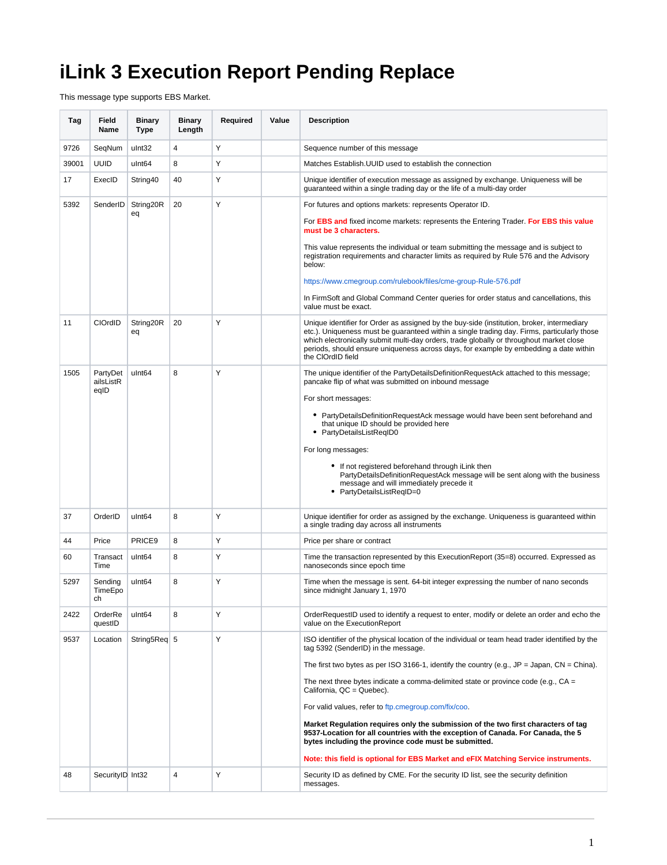## **iLink 3 Execution Report Pending Replace**

This message type supports EBS Market.

| Tag   | Field<br>Name                 | <b>Binary</b><br><b>Type</b> | <b>Binary</b><br>Length | Required | Value | <b>Description</b>                                                                                                                                                                                                                                                                                                                                                                                 |
|-------|-------------------------------|------------------------------|-------------------------|----------|-------|----------------------------------------------------------------------------------------------------------------------------------------------------------------------------------------------------------------------------------------------------------------------------------------------------------------------------------------------------------------------------------------------------|
| 9726  | SeqNum                        | ulnt32                       | 4                       | Υ        |       | Sequence number of this message                                                                                                                                                                                                                                                                                                                                                                    |
| 39001 | <b>UUID</b>                   | ulnt <sub>64</sub>           | 8                       | Υ        |       | Matches Establish. UUID used to establish the connection                                                                                                                                                                                                                                                                                                                                           |
| 17    | ExecID                        | String40                     | 40                      | Υ        |       | Unique identifier of execution message as assigned by exchange. Uniqueness will be<br>guaranteed within a single trading day or the life of a multi-day order                                                                                                                                                                                                                                      |
| 5392  | SenderID                      | String20R                    | 20                      | Υ        |       | For futures and options markets: represents Operator ID.                                                                                                                                                                                                                                                                                                                                           |
|       |                               | eq                           |                         |          |       | For EBS and fixed income markets: represents the Entering Trader. For EBS this value<br>must be 3 characters.                                                                                                                                                                                                                                                                                      |
|       |                               |                              |                         |          |       | This value represents the individual or team submitting the message and is subject to<br>registration requirements and character limits as required by Rule 576 and the Advisory<br>below:                                                                                                                                                                                                         |
|       |                               |                              |                         |          |       | https://www.cmegroup.com/rulebook/files/cme-group-Rule-576.pdf                                                                                                                                                                                                                                                                                                                                     |
|       |                               |                              |                         |          |       | In FirmSoft and Global Command Center queries for order status and cancellations, this<br>value must be exact.                                                                                                                                                                                                                                                                                     |
| 11    | CIOrdID                       | String20R<br>eq              | 20                      | Υ        |       | Unique identifier for Order as assigned by the buy-side (institution, broker, intermediary<br>etc.). Uniqueness must be guaranteed within a single trading day. Firms, particularly those<br>which electronically submit multi-day orders, trade globally or throughout market close<br>periods, should ensure uniqueness across days, for example by embedding a date within<br>the ClOrdID field |
| 1505  | PartyDet<br>ailsListR<br>eqID | ulnt <sub>64</sub>           | 8                       | Υ        |       | The unique identifier of the PartyDetailsDefinitionRequestAck attached to this message;<br>pancake flip of what was submitted on inbound message                                                                                                                                                                                                                                                   |
|       |                               |                              |                         |          |       | For short messages:                                                                                                                                                                                                                                                                                                                                                                                |
|       |                               |                              |                         |          |       | • PartyDetailsDefinitionRequestAck message would have been sent beforehand and<br>that unique ID should be provided here<br>• PartyDetailsListReqID0                                                                                                                                                                                                                                               |
|       |                               |                              |                         |          |       | For long messages:                                                                                                                                                                                                                                                                                                                                                                                 |
|       |                               |                              |                         |          |       | • If not registered beforehand through iLink then<br>PartyDetailsDefinitionRequestAck message will be sent along with the business<br>message and will immediately precede it<br>• PartyDetailsListReqID=0                                                                                                                                                                                         |
| 37    | OrderID                       | ulnt <sub>64</sub>           | 8                       | Υ        |       | Unique identifier for order as assigned by the exchange. Uniqueness is guaranteed within<br>a single trading day across all instruments                                                                                                                                                                                                                                                            |
| 44    | Price                         | PRICE9                       | 8                       | Y        |       | Price per share or contract                                                                                                                                                                                                                                                                                                                                                                        |
| 60    | Transact<br>Time              | ulnt <sub>64</sub>           | 8                       | Υ        |       | Time the transaction represented by this Execution Report (35=8) occurred. Expressed as<br>nanoseconds since epoch time                                                                                                                                                                                                                                                                            |
| 5297  | Sending<br>TimeEpo<br>CH.     | ulnt <sub>64</sub>           | 8                       | Υ        |       | Time when the message is sent. 64-bit integer expressing the number of nano seconds<br>since midnight January 1, 1970                                                                                                                                                                                                                                                                              |
| 2422  | OrderRe<br>questID            | ulnt <sub>64</sub>           | 8                       | Υ        |       | OrderRequestID used to identify a request to enter, modify or delete an order and echo the<br>value on the ExecutionReport                                                                                                                                                                                                                                                                         |
| 9537  | Location                      | String5Req 5                 |                         | Υ        |       | ISO identifier of the physical location of the individual or team head trader identified by the<br>tag 5392 (SenderID) in the message.                                                                                                                                                                                                                                                             |
|       |                               |                              |                         |          |       | The first two bytes as per ISO 3166-1, identify the country (e.g., $JP = Japan$ , $CN = China$ ).                                                                                                                                                                                                                                                                                                  |
|       |                               |                              |                         |          |       | The next three bytes indicate a comma-delimited state or province code (e.g., $CA =$<br>California, QC = Quebec).                                                                                                                                                                                                                                                                                  |
|       |                               |                              |                         |          |       | For valid values, refer to ftp.cmegroup.com/fix/coo.                                                                                                                                                                                                                                                                                                                                               |
|       |                               |                              |                         |          |       | Market Regulation reguires only the submission of the two first characters of tag<br>9537-Location for all countries with the exception of Canada. For Canada, the 5<br>bytes including the province code must be submitted.                                                                                                                                                                       |
|       |                               |                              |                         |          |       | Note: this field is optional for EBS Market and eFIX Matching Service instruments.                                                                                                                                                                                                                                                                                                                 |
| 48    | SecurityID Int32              |                              | 4                       | Υ        |       | Security ID as defined by CME. For the security ID list, see the security definition<br>messages.                                                                                                                                                                                                                                                                                                  |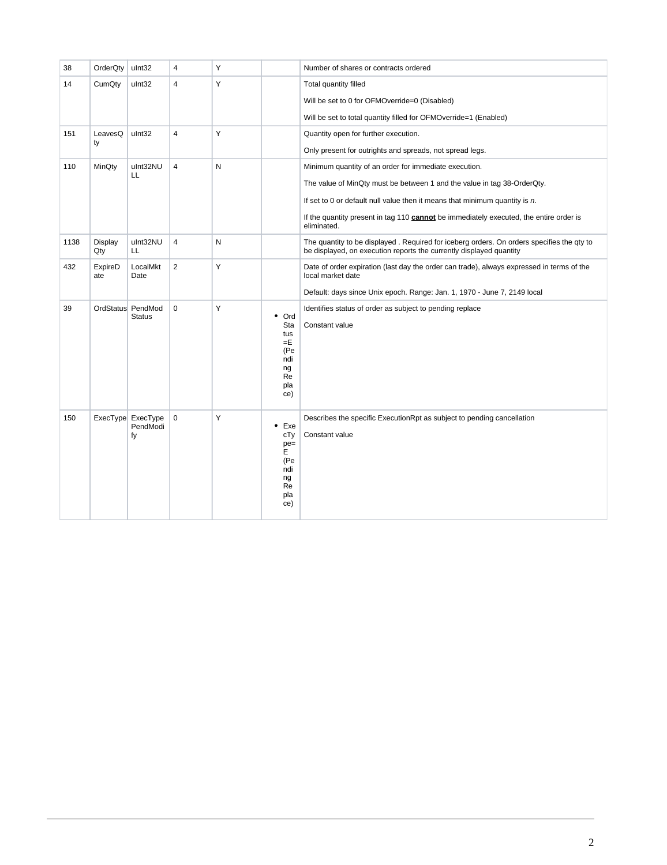| 38   | OrderQty       | ulnt32                              | $\overline{4}$          | Y         |                                                                                | Number of shares or contracts ordered                                                                                                                             |
|------|----------------|-------------------------------------|-------------------------|-----------|--------------------------------------------------------------------------------|-------------------------------------------------------------------------------------------------------------------------------------------------------------------|
| 14   | CumQty         | ulnt32                              | $\overline{4}$          | Υ         |                                                                                | Total quantity filled                                                                                                                                             |
|      |                |                                     |                         |           |                                                                                | Will be set to 0 for OFMOverride=0 (Disabled)                                                                                                                     |
|      |                |                                     |                         |           |                                                                                | Will be set to total quantity filled for OFMOverride=1 (Enabled)                                                                                                  |
| 151  | LeavesQ<br>ty  | ulnt32                              | $\overline{\mathbf{4}}$ | Υ         |                                                                                | Quantity open for further execution.                                                                                                                              |
|      |                |                                     |                         |           |                                                                                | Only present for outrights and spreads, not spread legs.                                                                                                          |
| 110  | MinQty         | ulnt32NU<br>LL                      | $\overline{4}$          | N         |                                                                                | Minimum quantity of an order for immediate execution.                                                                                                             |
|      |                |                                     |                         |           |                                                                                | The value of MinQty must be between 1 and the value in tag 38-OrderQty.                                                                                           |
|      |                |                                     |                         |           |                                                                                | If set to 0 or default null value then it means that minimum quantity is $n$ .                                                                                    |
|      |                |                                     |                         |           |                                                                                | If the quantity present in tag 110 <b>cannot</b> be immediately executed, the entire order is<br>eliminated.                                                      |
| 1138 | Display<br>Qty | ulnt32NU<br>LL                      | $\overline{\mathbf{4}}$ | ${\sf N}$ |                                                                                | The quantity to be displayed . Required for iceberg orders. On orders specifies the qty to<br>be displayed, on execution reports the currently displayed quantity |
| 432  | ExpireD<br>ate | LocalMkt<br>Date                    | $\overline{2}$          | Y         |                                                                                | Date of order expiration (last day the order can trade), always expressed in terms of the<br>local market date                                                    |
|      |                |                                     |                         |           |                                                                                | Default: days since Unix epoch. Range: Jan. 1, 1970 - June 7, 2149 local                                                                                          |
| 39   |                | OrdStatus PendMod<br><b>Status</b>  | $\mathbf 0$             | Y         | Ord<br>٠<br>Sta<br>tus<br>=E<br>(Pe<br>ndi<br>ng<br>Re<br>pla<br>ce)           | Identifies status of order as subject to pending replace<br>Constant value                                                                                        |
| 150  |                | ExecType ExecType<br>PendModi<br>fy | $\pmb{0}$               | Υ         | $\bullet$<br>Exe<br>cTy<br>$pe =$<br>E<br>(Pe<br>ndi<br>ng<br>Re<br>pla<br>ce) | Describes the specific ExecutionRpt as subject to pending cancellation<br>Constant value                                                                          |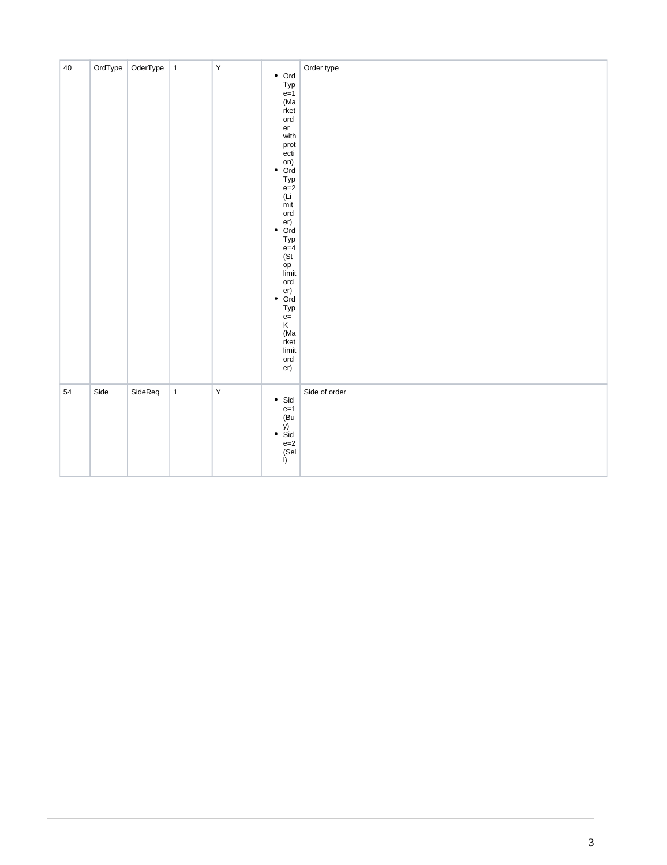| $40\,$ |      | OrdType OderType | $\vert$ 1    | $\mathsf Y$ | $\bullet$ Ord<br>$Typ$<br>e=1<br>(Ma<br>rket<br>ord<br>er<br>with<br>prot<br>ecti<br>$\bullet$ Ord<br>Typ<br>$e=2$<br>(Li)<br>mit<br>ord<br>$\bullet$ Ord<br>Typ<br>$e=4$<br>(St)<br>op<br>limit<br>$_{\rm ord}$<br>$\bullet$ Ord<br>Typ<br>$e=$<br>K<br>(Ma<br>rket<br>limit<br>ord<br>er) | Order type    |
|--------|------|------------------|--------------|-------------|---------------------------------------------------------------------------------------------------------------------------------------------------------------------------------------------------------------------------------------------------------------------------------------------|---------------|
| 54     | Side | SideReq          | $\mathbf{1}$ | $\mathsf Y$ | $\bullet$ Sid<br>$e=1$<br>(Bu<br>$\bullet$ $\overrightarrow{Sid}$<br>$e=2$<br>(Sel<br>I)                                                                                                                                                                                                    | Side of order |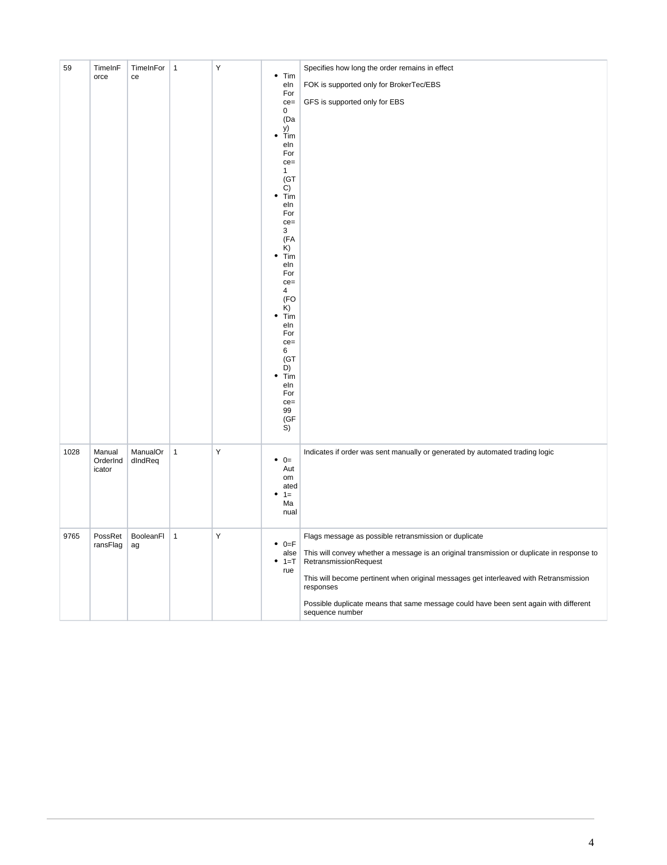| 59   | TimeInF<br>orce    | TimeInFor<br>ce | $\overline{1}$ | Υ | $\bullet$ Tim                | Specifies how long the order remains in effect                                                          |
|------|--------------------|-----------------|----------------|---|------------------------------|---------------------------------------------------------------------------------------------------------|
|      |                    |                 |                |   | eln<br>For                   | FOK is supported only for BrokerTec/EBS                                                                 |
|      |                    |                 |                |   | $ce =$<br>$\mathbf{0}$       | GFS is supported only for EBS                                                                           |
|      |                    |                 |                |   | (Da<br>y)                    |                                                                                                         |
|      |                    |                 |                |   | $\bullet$<br>Tim<br>eln      |                                                                                                         |
|      |                    |                 |                |   | For<br>$ce=$                 |                                                                                                         |
|      |                    |                 |                |   | $\mathbf{1}$<br>(GT)         |                                                                                                         |
|      |                    |                 |                |   | C)<br>Tim<br>٠               |                                                                                                         |
|      |                    |                 |                |   | eln<br>For                   |                                                                                                         |
|      |                    |                 |                |   | $ce =$<br>3                  |                                                                                                         |
|      |                    |                 |                |   | (FA<br>K)                    |                                                                                                         |
|      |                    |                 |                |   | Tim<br>٠<br>eln              |                                                                                                         |
|      |                    |                 |                |   | For                          |                                                                                                         |
|      |                    |                 |                |   | $ce =$<br>4<br>(FO           |                                                                                                         |
|      |                    |                 |                |   | K)<br>Tim<br>٠               |                                                                                                         |
|      |                    |                 |                |   | eln<br>For                   |                                                                                                         |
|      |                    |                 |                |   | $ce=$                        |                                                                                                         |
|      |                    |                 |                |   | 6<br>(GT)<br>D)              |                                                                                                         |
|      |                    |                 |                |   | Tim<br>٠<br>eln              |                                                                                                         |
|      |                    |                 |                |   | For                          |                                                                                                         |
|      |                    |                 |                |   | $ce =$<br>99                 |                                                                                                         |
|      |                    |                 |                |   | (GF<br>S)                    |                                                                                                         |
| 1028 | Manual             | ManualOr        | $\mathbf{1}$   | Υ |                              | Indicates if order was sent manually or generated by automated trading logic                            |
|      | OrderInd<br>icator | $d$ Ind $Req$   |                |   | $\bullet$<br>$0=$<br>Aut     |                                                                                                         |
|      |                    |                 |                |   | om<br>ated                   |                                                                                                         |
|      |                    |                 |                |   | $1 =$<br>Ma                  |                                                                                                         |
|      |                    |                 |                |   | nual                         |                                                                                                         |
| 9765 | PossRet            | BooleanFl       | $\mathbf{1}$   | Y |                              | Flags message as possible retransmission or duplicate                                                   |
|      | ransFlag           | ag              |                |   | $\bullet$<br>$0 = F$<br>alse | This will convey whether a message is an original transmission or duplicate in response to              |
|      |                    |                 |                |   | $1 = T$<br>٠<br>rue          | RetransmissionRequest                                                                                   |
|      |                    |                 |                |   |                              | This will become pertinent when original messages get interleaved with Retransmission<br>responses      |
|      |                    |                 |                |   |                              | Possible duplicate means that same message could have been sent again with different<br>sequence number |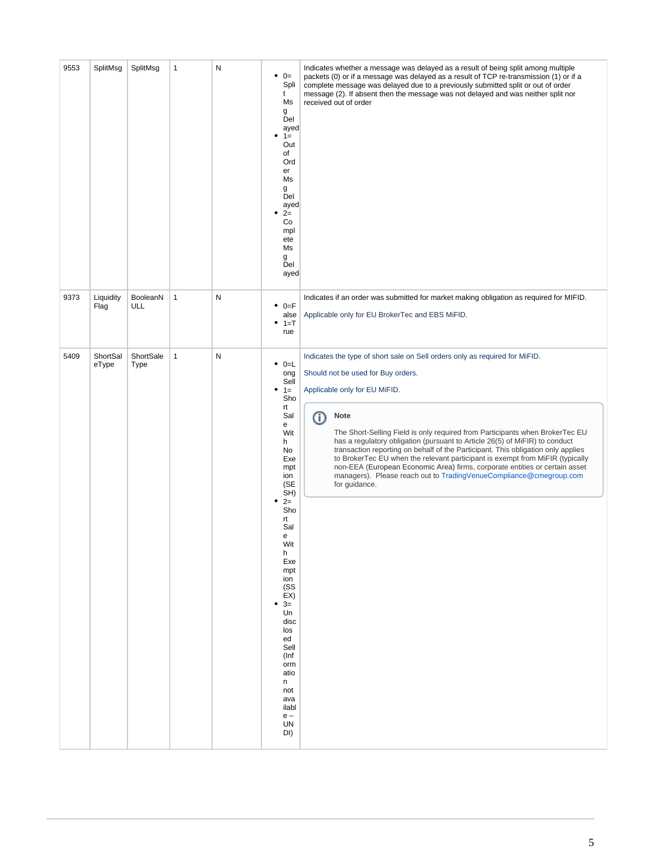| 9553 | SplitMsg          | SplitMsg          | 1            | N | $\bullet$ 0=<br>Spli<br>t<br>Ms<br>g<br>Del<br>ayed<br>٠<br>$1 =$<br>Out<br>of<br>Ord<br>er<br>Ms<br>g<br>Del<br>ayed<br>$2=$<br>٠<br>Co<br>mpl<br>ete<br>Ms<br>g<br>Del<br>ayed                                                                                                                                                       | Indicates whether a message was delayed as a result of being split among multiple<br>packets (0) or if a message was delayed as a result of TCP re-transmission (1) or if a<br>complete message was delayed due to a previously submitted split or out of order<br>message (2). If absent then the message was not delayed and was neither split nor<br>received out of order                                                                                                                                                                                                                                                                                                    |
|------|-------------------|-------------------|--------------|---|----------------------------------------------------------------------------------------------------------------------------------------------------------------------------------------------------------------------------------------------------------------------------------------------------------------------------------------|----------------------------------------------------------------------------------------------------------------------------------------------------------------------------------------------------------------------------------------------------------------------------------------------------------------------------------------------------------------------------------------------------------------------------------------------------------------------------------------------------------------------------------------------------------------------------------------------------------------------------------------------------------------------------------|
| 9373 | Liquidity<br>Flag | BooleanN<br>ULL   | $\mathbf{1}$ | N | ٠<br>$0 = F$<br>alse<br>$1 = T$<br>٠<br>rue                                                                                                                                                                                                                                                                                            | Indicates if an order was submitted for market making obligation as required for MIFID.<br>Applicable only for EU BrokerTec and EBS MiFID.                                                                                                                                                                                                                                                                                                                                                                                                                                                                                                                                       |
| 5409 | ShortSal<br>eType | ShortSale<br>Type | $\mathbf{1}$ | N | $\bullet$ 0=L<br>ong<br>Sell<br>$1 =$<br>٠<br>Sho<br>rt<br>Sal<br>е<br>Wit<br>h<br>No<br>Exe<br>mpt<br>ion<br>(SE<br>SH)<br>$2=$<br>٠<br>Sho<br>rt<br>Sal<br>e<br>Wit<br>h<br>Exe<br>mpt<br>ion<br>(SS<br>EX)<br>٠<br>$3=$<br>Un<br>disc<br>los<br>ed<br>Sell<br>(Inf<br>orm<br>atio<br>n<br>not<br>ava<br>ilabl<br>$e -$<br>UN<br>DI) | Indicates the type of short sale on Sell orders only as required for MiFID.<br>Should not be used for Buy orders.<br>Applicable only for EU MiFID.<br>⓪<br><b>Note</b><br>The Short-Selling Field is only required from Participants when BrokerTec EU<br>has a regulatory obligation (pursuant to Article 26(5) of MiFIR) to conduct<br>transaction reporting on behalf of the Participant. This obligation only applies<br>to BrokerTec EU when the relevant participant is exempt from MiFIR (typically<br>non-EEA (European Economic Area) firms, corporate entities or certain asset<br>managers). Please reach out to TradingVenueCompliance@cmegroup.com<br>for guidance. |